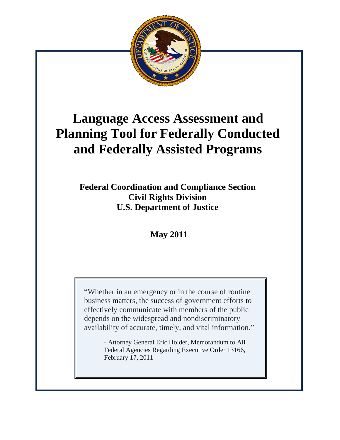

# **Language Access Assessment and Planning Tool for Federally Conducted and Federally Assisted Programs**

**Federal Coordination and Compliance Section Civil Rights Division U.S. Department of Justice**

**May 2011**

"Whether in an emergency or in the course of routine business matters, the success of government efforts to effectively communicate with members of the public depends on the widespread and nondiscriminatory availability of accurate, timely, and vital information."

> - Attorney General Eric Holder, Memorandum to All Federal Agencies Regarding Executive Order 13166, February 17, 2011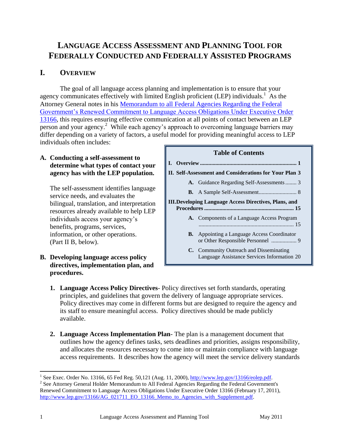## **LANGUAGE ACCESS ASSESSMENT AND PLANNING TOOL FOR FEDERALLY CONDUCTED AND FEDERALLY ASSISTED PROGRAMS**

## **I. OVERVIEW**

The goal of all language access planning and implementation is to ensure that your agency communicates effectively with limited English proficient (LEP) individuals.<sup>1</sup> As the Attorney General notes in his [Memorandum to all Federal Agencies Regarding the Federal](http://www.lep.gov/13166/AG_021711_EO_13166_Memo_to_Agencies_with_Supplement.pdf)  [Government's Renewed Commitment to Language Access Obligations Under Executive Order](http://www.lep.gov/13166/AG_021711_EO_13166_Memo_to_Agencies_with_Supplement.pdf)  [13166,](http://www.lep.gov/13166/AG_021711_EO_13166_Memo_to_Agencies_with_Supplement.pdf) this requires ensuring effective communication at all points of contact between an LEP  $\overline{\text{person}}$  and your agency.<sup>2</sup> While each agency's approach to overcoming language barriers may differ depending on a variety of factors, a useful model for providing meaningful access to LEP individuals often includes:

#### **A. Conducting a self-assessment to determine what types of contact your agency has with the LEP population.**

The self-assessment identifies language service needs, and evaluates the bilingual, translation, and interpretation resources already available to help LEP individuals access your agency's benefits, programs, services, information, or other operations. (Part II B, below).

**B. Developing language access policy directives, implementation plan, and procedures.** 

#### **Table of Contents**



- **1. Language Access Policy Directives** Policy directives set forth standards, operating principles, and guidelines that govern the delivery of language appropriate services. Policy directives may come in different forms but are designed to require the agency and its staff to ensure meaningful access. Policy directives should be made publicly available.
- **2. Language Access Implementation Plan** The plan is a management document that outlines how the agency defines tasks, sets deadlines and priorities, assigns responsibility, and allocates the resources necessary to come into or maintain compliance with language access requirements. It describes how the agency will meet the service delivery standards

<sup>1&</sup>lt;br>
<sup>1</sup> See Exec. Order No. 13166, 65 Fed Reg. 50,121 (Aug. 11, 2000), <u>http://www.lep.gov/13166/eolep.pdf</u>.

<sup>&</sup>lt;sup>2</sup> See Attorney General Holder Memorandum to All Federal Agencies Regarding the Federal Government's Renewed Commitment to Language Access Obligations Under Executive Order 13166 (February 17, 2011), [http://www.lep.gov/13166/AG\\_021711\\_EO\\_13166\\_Memo\\_to\\_Agencies\\_with\\_Supplement.pdf.](http://www.lep.gov/13166/AG_021711_EO_13166_Memo_to_Agencies_with_Supplement.pdf)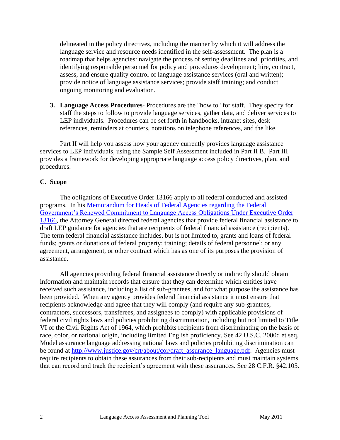delineated in the policy directives, including the manner by which it will address the language service and resource needs identified in the self-assessment. The plan is a roadmap that helps agencies: navigate the process of setting deadlines and priorities, and identifying responsible personnel for policy and procedures development; hire, contract, assess, and ensure quality control of language assistance services (oral and written); provide notice of language assistance services; provide staff training; and conduct ongoing monitoring and evaluation.

**3. Language Access Procedures**- Procedures are the "how to" for staff. They specify for staff the steps to follow to provide language services, gather data, and deliver services to LEP individuals. Procedures can be set forth in handbooks, intranet sites, desk references, reminders at counters, notations on telephone references, and the like.

Part II will help you assess how your agency currently provides language assistance services to LEP individuals, using the Sample Self Assessment included in Part II B. Part III provides a framework for developing appropriate language access policy directives, plan, and procedures.

#### **C. Scope**

The obligations of Executive Order 13166 apply to all federal conducted and assisted programs. In his [Memorandum for Heads of Federal Agencies regarding the Federal](http://www.lep.gov/13166/AG_021711_EO_13166_Memo_to_Agencies_with_Supplement.pdf)  [Government's Renewed Commitment to Language Access Obligations](http://www.lep.gov/13166/AG_021711_EO_13166_Memo_to_Agencies_with_Supplement.pdf) Under Executive Order [13166,](http://www.lep.gov/13166/AG_021711_EO_13166_Memo_to_Agencies_with_Supplement.pdf) the Attorney General directed federal agencies that provide federal financial assistance to draft LEP guidance for agencies that are recipients of federal financial assistance (recipients). The term federal financial assistance includes, but is not limited to, grants and loans of federal funds; grants or donations of federal property; training; details of federal personnel; or any agreement, arrangement, or other contract which has as one of its purposes the provision of assistance.

All agencies providing federal financial assistance directly or indirectly should obtain information and maintain records that ensure that they can determine which entities have received such assistance, including a list of sub-grantees, and for what purpose the assistance has been provided. When any agency provides federal financial assistance it must ensure that recipients acknowledge and agree that they will comply (and require any sub-grantees, contractors, successors, transferees, and assignees to comply) with applicable provisions of federal civil rights laws and policies prohibiting discrimination, including but not limited to Title VI of the Civil Rights Act of 1964, which prohibits recipients from discriminating on the basis of race, color, or national origin, including limited English proficiency. See 42 U.S.C. 2000d et seq. Model assurance language addressing national laws and policies prohibiting discrimination can be found at [http://www.justice.gov/crt/about/cor/draft\\_assurance\\_language.pdf.](http://www.justice.gov/crt/about/cor/draft_assurance_language.pdf) Agencies must require recipients to obtain these assurances from their sub-recipients and must maintain systems that can record and track the recipient's agreement with these assurances. See 28 C.F.R. §42.105.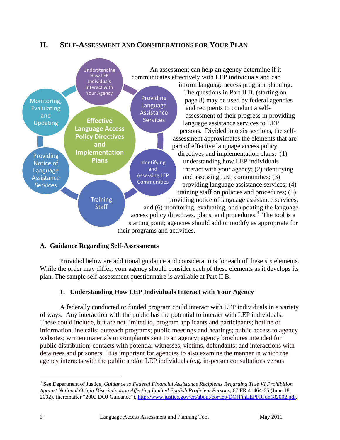## **II. SELF-ASSESSMENT AND CONSIDERATIONS FOR YOUR PLAN**



#### **A. Guidance Regarding Self-Assessments**

Provided below are additional guidance and considerations for each of these six elements. While the order may differ, your agency should consider each of these elements as it develops its plan. The sample self-assessment questionnaire is available at Part II B.

## **1. Understanding How LEP Individuals Interact with Your Agency**

A federally conducted or funded program could interact with LEP individuals in a variety of ways. Any interaction with the public has the potential to interact with LEP individuals. These could include, but are not limited to, program applicants and participants; hotline or information line calls; outreach programs; public meetings and hearings; public access to agency websites; written materials or complaints sent to an agency; agency brochures intended for public distribution; contacts with potential witnesses, victims, defendants; and interactions with detainees and prisoners. It is important for agencies to also examine the manner in which the agency interacts with the public and/or LEP individuals (e.g. in-person consultations versus

 $\overline{a}$ 

<sup>&</sup>lt;sup>3</sup> See Department of Justice, *Guidance to Federal Financial Assistance Recipients Regarding Title VI Prohibition Against National Origin Discrimination Affecting Limited English Proficient Persons*, 67 FR 41464-65 (June 18, 2002). (hereinafter "2002 DOJ Guidance"), [http://www.justice.gov/crt/about/cor/lep/DOJFinLEPFRJun182002.pdf.](http://www.justice.gov/crt/about/cor/lep/DOJFinLEPFRJun182002.pdf)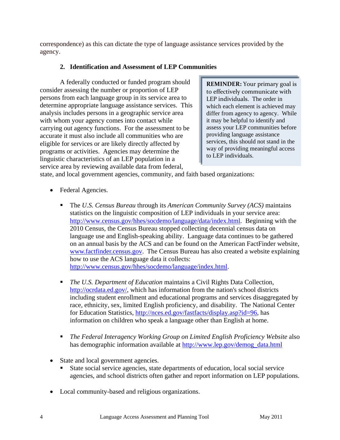correspondence) as this can dictate the type of language assistance services provided by the agency.

## **2. Identification and Assessment of LEP Communities**

A federally conducted or funded program should consider assessing the number or proportion of LEP persons from each language group in its service area to determine appropriate language assistance services. This analysis includes persons in a geographic service area with whom your agency comes into contact while carrying out agency functions. For the assessment to be accurate it must also include all communities who are eligible for services or are likely directly affected by programs or activities. Agencies may determine the linguistic characteristics of an LEP population in a service area by reviewing available data from federal,

**REMINDER:** Your primary goal is to effectively communicate with LEP individuals. The order in which each element is achieved may differ from agency to agency. While it may be helpful to identify and assess your LEP communities before providing language assistance services, this should not stand in the way of providing meaningful access to LEP individuals.

state, and local government agencies, community, and faith based organizations:

- Federal Agencies.
	- The *U.S. Census Bureau* through its *American Community Survey (ACS)* maintains statistics on the linguistic composition of LEP individuals in your service area: [http://www.census.gov/hhes/socdemo/language/data/index.html.](http://www.census.gov/hhes/socdemo/language/data/index.html) Beginning with the 2010 Census, the Census Bureau stopped collecting decennial census data on language use and English-speaking ability. Language data continues to be gathered on an annual basis by the ACS and can be found on the American FactFinder website, [www.factfinder.census.gov.](http://www.factfinder.census.gov/) The Census Bureau has also created a website explaining how to use the ACS language data it collects: [http://www.census.gov/hhes/socdemo/language/index.html.](http://www.census.gov/hhes/socdemo/language/index.html)

 *The U.S. Department of Education* maintains a Civil Rights Data Collection, [http://ocrdata.ed.gov/,](http://ocrdata.ed.gov/) which has information from the nation's school districts including student enrollment and educational programs and services disaggregated by race, ethnicity, sex, limited English proficiency, and disability. The National Center for Education Statistics, [http://nces.ed.gov/fastfacts/display.asp?id=96,](http://nces.ed.gov/fastfacts/display.asp?id=96) has information on children who speak a language other than English at home.

- *The Federal Interagency Working Group on Limited English Proficiency Website* also has demographic information available at [http://www.lep.gov/demog\\_data.html](http://www.lep.gov/demog_data.html)
- State and local government agencies.
	- State social service agencies, state departments of education, local social service agencies, and school districts often gather and report information on LEP populations.
- Local community-based and religious organizations.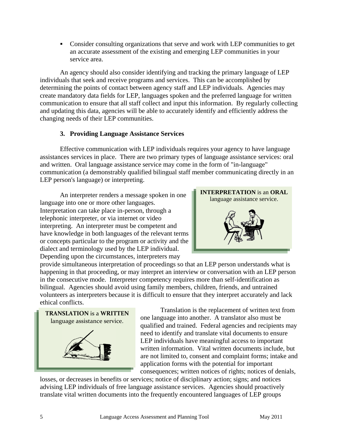Consider consulting organizations that serve and work with LEP communities to get an accurate assessment of the existing and emerging LEP communities in your service area.

An agency should also consider identifying and tracking the primary language of LEP individuals that seek and receive programs and services. This can be accomplished by determining the points of contact between agency staff and LEP individuals. Agencies may create mandatory data fields for LEP, languages spoken and the preferred language for written communication to ensure that all staff collect and input this information. By regularly collecting and updating this data, agencies will be able to accurately identify and efficiently address the changing needs of their LEP communities.

## **3. Providing Language Assistance Services**

Effective communication with LEP individuals requires your agency to have language assistances services in place. There are two primary types of language assistance services: oral and written. Oral language assistance service may come in the form of "in-language" communication (a demonstrably qualified bilingual staff member communicating directly in an LEP person's language) or interpreting.

An interpreter renders a message spoken in one language into one or more other languages. Interpretation can take place in-person, through a telephonic interpreter, or via internet or video interpreting. An interpreter must be competent and have knowledge in both languages of the relevant terms or concepts particular to the program or activity and the dialect and terminology used by the LEP individual. Depending upon the circumstances, interpreters may



provide simultaneous interpretation of proceedings so that an LEP person understands what is happening in that proceeding, or may interpret an interview or conversation with an LEP person in the consecutive mode. Interpreter competency requires more than self-identification as bilingual. Agencies should avoid using family members, children, friends, and untrained volunteers as interpreters because it is difficult to ensure that they interpret accurately and lack ethical conflicts.



Translation is the replacement of written text from one language into another. A translator also must be qualified and trained. Federal agencies and recipients may need to identify and translate vital documents to ensure LEP individuals have meaningful access to important written information. Vital written documents include, but are not limited to, consent and complaint forms; intake and application forms with the potential for important consequences; written notices of rights; notices of denials,

losses, or decreases in benefits or services; notice of disciplinary action; signs; and notices advising LEP individuals of free language assistance services. Agencies should proactively translate vital written documents into the frequently encountered languages of LEP groups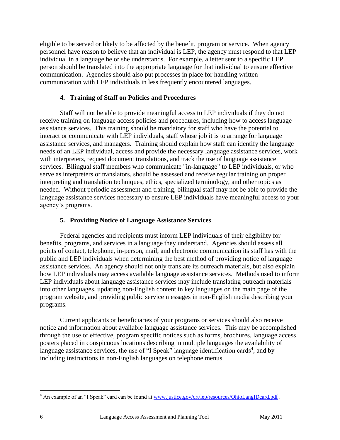eligible to be served or likely to be affected by the benefit, program or service. When agency personnel have reason to believe that an individual is LEP, the agency must respond to that LEP individual in a language he or she understands. For example, a letter sent to a specific LEP person should be translated into the appropriate language for that individual to ensure effective communication. Agencies should also put processes in place for handling written communication with LEP individuals in less frequently encountered languages.

#### **4. Training of Staff on Policies and Procedures**

Staff will not be able to provide meaningful access to LEP individuals if they do not receive training on language access policies and procedures, including how to access language assistance services. This training should be mandatory for staff who have the potential to interact or communicate with LEP individuals, staff whose job it is to arrange for language assistance services, and managers. Training should explain how staff can identify the language needs of an LEP individual, access and provide the necessary language assistance services, work with interpreters, request document translations, and track the use of language assistance services. Bilingual staff members who communicate "in-language" to LEP individuals, or who serve as interpreters or translators, should be assessed and receive regular training on proper interpreting and translation techniques, ethics, specialized terminology, and other topics as needed. Without periodic assessment and training, bilingual staff may not be able to provide the language assistance services necessary to ensure LEP individuals have meaningful access to your agency's programs.

#### **5. Providing Notice of Language Assistance Services**

Federal agencies and recipients must inform LEP individuals of their eligibility for benefits, programs, and services in a language they understand. Agencies should assess all points of contact, telephone, in-person, mail, and electronic communication its staff has with the public and LEP individuals when determining the best method of providing notice of language assistance services. An agency should not only translate its outreach materials, but also explain how LEP individuals may access available language assistance services. Methods used to inform LEP individuals about language assistance services may include translating outreach materials into other languages, updating non-English content in key languages on the main page of the program website, and providing public service messages in non-English media describing your programs.

Current applicants or beneficiaries of your programs or services should also receive notice and information about available language assistance services. This may be accomplished through the use of effective, program specific notices such as forms, brochures, language access posters placed in conspicuous locations describing in multiple languages the availability of language assistance services, the use of "I Speak" language identification cards<sup>4</sup>, and by including instructions in non-English languages on telephone menus.

 $\overline{a}$ <sup>4</sup> An example of an "I Speak" card can be found at [www.justice.gov/crt/lep/resources/OhioLangIDcard.pdf](http://www.justice.gov/crt/lep/resources/OhioLangIDcard.pdf).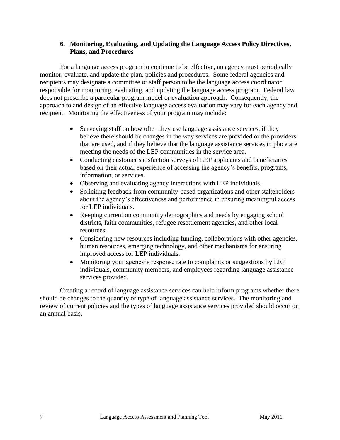#### **6. Monitoring, Evaluating, and Updating the Language Access Policy Directives, Plans, and Procedures**

For a language access program to continue to be effective, an agency must periodically monitor, evaluate, and update the plan, policies and procedures. Some federal agencies and recipients may designate a committee or staff person to be the language access coordinator responsible for monitoring, evaluating, and updating the language access program. Federal law does not prescribe a particular program model or evaluation approach. Consequently, the approach to and design of an effective language access evaluation may vary for each agency and recipient. Monitoring the effectiveness of your program may include:

- Surveying staff on how often they use language assistance services, if they believe there should be changes in the way services are provided or the providers that are used, and if they believe that the language assistance services in place are meeting the needs of the LEP communities in the service area.
- Conducting customer satisfaction surveys of LEP applicants and beneficiaries based on their actual experience of accessing the agency's benefits, programs, information, or services.
- Observing and evaluating agency interactions with LEP individuals.
- Soliciting feedback from community-based organizations and other stakeholders about the agency's effectiveness and performance in ensuring meaningful access for LEP individuals.
- Keeping current on community demographics and needs by engaging school districts, faith communities, refugee resettlement agencies, and other local resources.
- Considering new resources including funding, collaborations with other agencies, human resources, emerging technology, and other mechanisms for ensuring improved access for LEP individuals.
- Monitoring your agency's response rate to complaints or suggestions by LEP individuals, community members, and employees regarding language assistance services provided.

Creating a record of language assistance services can help inform programs whether there should be changes to the quantity or type of language assistance services. The monitoring and review of current policies and the types of language assistance services provided should occur on an annual basis.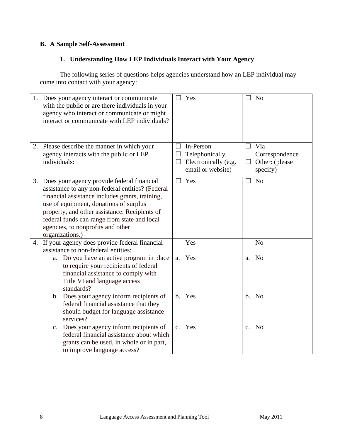## **B. A Sample Self-Assessment**

## **1. Understanding How LEP Individuals Interact with Your Agency**

The following series of questions helps agencies understand how an LEP individual may come into contact with your agency:

| 1. Does your agency interact or communicate<br>with the public or are there individuals in your<br>agency who interact or communicate or might<br>interact or communicate with LEP individuals?                                                                                                                                                         | N <sub>0</sub><br>$\Box$ Yes<br>$\Box$                                                                                                                                     |  |
|---------------------------------------------------------------------------------------------------------------------------------------------------------------------------------------------------------------------------------------------------------------------------------------------------------------------------------------------------------|----------------------------------------------------------------------------------------------------------------------------------------------------------------------------|--|
| 2. Please describe the manner in which your<br>agency interacts with the public or LEP<br>individuals:                                                                                                                                                                                                                                                  | $\Box$ Via<br>In-Person<br>$\Box$<br>Telephonically<br>Correspondence<br>ப<br>Electronically (e.g.<br>Other: (please)<br>$\Box$<br>$\Box$<br>email or website)<br>specify) |  |
| 3. Does your agency provide federal financial<br>assistance to any non-federal entities? (Federal<br>financial assistance includes grants, training,<br>use of equipment, donations of surplus<br>property, and other assistance. Recipients of<br>federal funds can range from state and local<br>agencies, to nonprofits and other<br>organizations.) | $\Box$ Yes<br>N <sub>o</sub>                                                                                                                                               |  |
| 4. If your agency does provide federal financial<br>assistance to non-federal entities:                                                                                                                                                                                                                                                                 | Yes<br>N <sub>o</sub>                                                                                                                                                      |  |
| Do you have an active program in place<br>а.<br>to require your recipients of federal<br>financial assistance to comply with<br>Title VI and language access<br>standards?                                                                                                                                                                              | Yes<br><b>No</b><br>a.<br>a.                                                                                                                                               |  |
| b. Does your agency inform recipients of<br>federal financial assistance that they<br>should budget for language assistance<br>services?                                                                                                                                                                                                                | b. Yes<br>b. No                                                                                                                                                            |  |
| c. Does your agency inform recipients of<br>federal financial assistance about which<br>grants can be used, in whole or in part,<br>to improve language access?                                                                                                                                                                                         | c. Yes<br>c. No                                                                                                                                                            |  |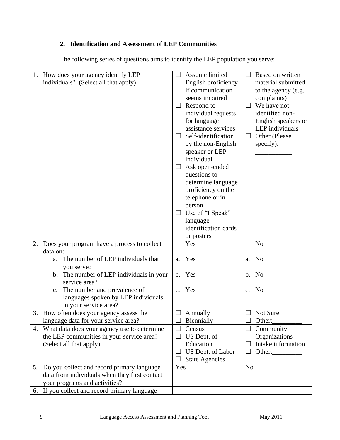## **2. Identification and Assessment of LEP Communities**

The following series of questions aims to identify the LEP population you serve:

|    | 1. How does your agency identify LEP           |        | Assume limited        |                | Based on written    |
|----|------------------------------------------------|--------|-----------------------|----------------|---------------------|
|    | individuals? (Select all that apply)           |        | English proficiency   |                | material submitted  |
|    |                                                |        | if communication      |                | to the agency (e.g. |
|    |                                                |        | seems impaired        |                | complaints)         |
|    |                                                |        | Respond to            |                | We have not         |
|    |                                                |        | individual requests   |                | identified non-     |
|    |                                                |        |                       |                |                     |
|    |                                                |        | for language          |                | English speakers or |
|    |                                                |        | assistance services   |                | LEP individuals     |
|    |                                                | ⊔      | Self-identification   | Ш              | Other (Please       |
|    |                                                |        | by the non-English    |                | specify):           |
|    |                                                |        | speaker or LEP        |                |                     |
|    |                                                |        | individual            |                |                     |
|    |                                                | $\Box$ | Ask open-ended        |                |                     |
|    |                                                |        | questions to          |                |                     |
|    |                                                |        | determine language    |                |                     |
|    |                                                |        | proficiency on the    |                |                     |
|    |                                                |        | telephone or in       |                |                     |
|    |                                                |        |                       |                |                     |
|    |                                                |        | person                |                |                     |
|    |                                                |        | Use of "I Speak"      |                |                     |
|    |                                                |        | language              |                |                     |
|    |                                                |        | identification cards  |                |                     |
|    |                                                |        | or posters            |                |                     |
|    | 2. Does your program have a process to collect |        | Yes                   |                | N <sub>o</sub>      |
|    | data on:                                       |        |                       |                |                     |
|    | The number of LEP individuals that<br>a.       |        | a. Yes                |                | a. No               |
|    | you serve?                                     |        |                       |                |                     |
|    | b. The number of LEP individuals in your       |        | b. Yes                |                | b. No               |
|    | service area?                                  |        |                       |                |                     |
|    | The number and prevalence of<br>$\mathbf{c}$ . |        | c. Yes                | $\mathbf{c}$ . | No                  |
|    | languages spoken by LEP individuals            |        |                       |                |                     |
|    | in your service area?                          |        |                       |                |                     |
|    | 3. How often does your agency assess the       |        | Annually              |                | Not Sure            |
|    | language data for your service area?           |        | Biennially            |                | Other:              |
| 4. | What data does your agency use to determine    |        | Census                |                | Community           |
|    | the LEP communities in your service area?      |        | US Dept. of           |                | Organizations       |
|    |                                                |        | Education             |                | Intake information  |
|    | (Select all that apply)                        |        |                       |                |                     |
|    |                                                |        | US Dept. of Labor     | $\Box$         | Other:              |
|    |                                                |        | <b>State Agencies</b> |                |                     |
|    | 5. Do you collect and record primary language  | Yes    |                       | N <sub>o</sub> |                     |
|    | data from individuals when they first contact  |        |                       |                |                     |
|    | your programs and activities?                  |        |                       |                |                     |
|    | 6. If you collect and record primary language  |        |                       |                |                     |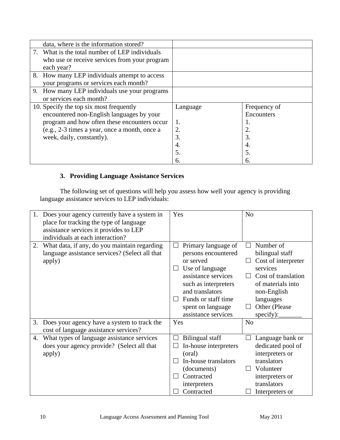| data, where is the information stored?         |          |              |
|------------------------------------------------|----------|--------------|
| 7. What is the total number of LEP individuals |          |              |
| who use or receive services from your program  |          |              |
| each year?                                     |          |              |
| 8. How many LEP individuals attempt to access  |          |              |
| your programs or services each month?          |          |              |
| 9. How many LEP individuals use your programs  |          |              |
| or services each month?                        |          |              |
|                                                |          |              |
| 10. Specify the top six most frequently        | Language | Frequency of |
| encountered non-English languages by your      |          | Encounters   |
| program and how often these encounters occur   | 1.       | 1.           |
| (e.g., 2-3 times a year, once a month, once a  |          | 2.           |
| week, daily, constantly).                      | 3.       | 3.           |
|                                                | 4.       | 4.           |
|                                                | 5.       | 5.           |

## **3. Providing Language Assistance Services**

The following set of questions will help you assess how well your agency is providing language assistance services to LEP individuals:

|    | Does your agency currently have a system in<br>place for tracking the type of language<br>assistance services it provides to LEP<br>individuals at each interaction? | Yes                    |                                                                                                                                                                                                                 | N <sub>o</sub> |                                                                                                                                                                       |
|----|----------------------------------------------------------------------------------------------------------------------------------------------------------------------|------------------------|-----------------------------------------------------------------------------------------------------------------------------------------------------------------------------------------------------------------|----------------|-----------------------------------------------------------------------------------------------------------------------------------------------------------------------|
| 2. | What data, if any, do you maintain regarding<br>language assistance services? (Select all that<br>apply)                                                             | $\Box$<br>ப<br>$\perp$ | Primary language of<br>persons encountered<br>or served<br>Use of language<br>assistance services<br>such as interpreters<br>and translators<br>Funds or staff time<br>spent on language<br>assistance services |                | Number of<br>bilingual staff<br>Cost of interpreter<br>services<br>Cost of translation<br>of materials into<br>non-English<br>languages<br>Other (Please<br>specify): |
| 3. | Does your agency have a system to track the<br>cost of language assistance services?                                                                                 | Yes                    |                                                                                                                                                                                                                 | N <sub>o</sub> |                                                                                                                                                                       |
| 4. | What types of language assistance services<br>does your agency provide? (Select all that<br>apply)                                                                   | $\Box$<br>$\Box$       | <b>Bilingual staff</b><br>In-house interpreters<br>(oral)<br>In-house translators<br>(documents)<br>Contracted<br>interpreters<br>Contracted                                                                    |                | Language bank or<br>dedicated pool of<br>interpreters or<br>translators<br>Volunteer<br>interpreters or<br>translators<br>Interpreters or                             |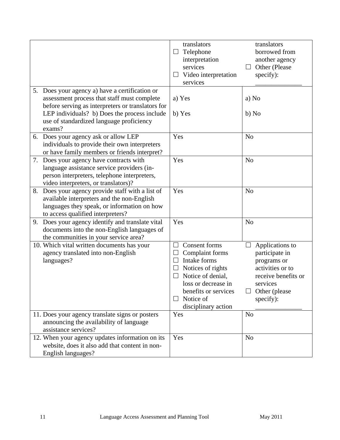|                                                                                                                                                                                                                                                          | translators<br>Telephone<br>⊔<br>interpretation<br>services<br>Video interpretation<br>⊔<br>services                                                                                                        | translators<br>borrowed from<br>another agency<br>Other (Please<br>$\Box$<br>specify):                                                       |
|----------------------------------------------------------------------------------------------------------------------------------------------------------------------------------------------------------------------------------------------------------|-------------------------------------------------------------------------------------------------------------------------------------------------------------------------------------------------------------|----------------------------------------------------------------------------------------------------------------------------------------------|
| 5. Does your agency a) have a certification or<br>assessment process that staff must complete<br>before serving as interpreters or translators for<br>LEP individuals? b) Does the process include<br>use of standardized language proficiency<br>exams? | a) Yes<br>b) Yes                                                                                                                                                                                            | a) No<br>b) No                                                                                                                               |
| 6. Does your agency ask or allow LEP<br>individuals to provide their own interpreters<br>or have family members or friends interpret?                                                                                                                    | Yes                                                                                                                                                                                                         | N <sub>o</sub>                                                                                                                               |
| 7. Does your agency have contracts with<br>language assistance service providers (in-<br>person interpreters, telephone interpreters,<br>video interpreters, or translators)?                                                                            | Yes                                                                                                                                                                                                         | N <sub>o</sub>                                                                                                                               |
| 8. Does your agency provide staff with a list of<br>available interpreters and the non-English<br>languages they speak, or information on how<br>to access qualified interpreters?                                                                       | Yes                                                                                                                                                                                                         | N <sub>o</sub>                                                                                                                               |
| 9. Does your agency identify and translate vital<br>documents into the non-English languages of<br>the communities in your service area?                                                                                                                 | Yes                                                                                                                                                                                                         | N <sub>o</sub>                                                                                                                               |
| 10. Which vital written documents has your<br>agency translated into non-English<br>languages?                                                                                                                                                           | Consent forms<br>$\Box$<br>Complaint forms<br>Intake forms<br>$\Box$<br>Notices of rights<br>$\Box$<br>Notice of denial,<br>loss or decrease in<br>benefits or services<br>Notice of<br>disciplinary action | Applications to<br>participate in<br>programs or<br>activities or to<br>receive benefits or<br>services<br>$\Box$ Other (please<br>specify): |
| 11. Does your agency translate signs or posters<br>announcing the availability of language<br>assistance services?                                                                                                                                       | Yes                                                                                                                                                                                                         | N <sub>o</sub>                                                                                                                               |
| 12. When your agency updates information on its<br>website, does it also add that content in non-<br>English languages?                                                                                                                                  | Yes                                                                                                                                                                                                         | N <sub>o</sub>                                                                                                                               |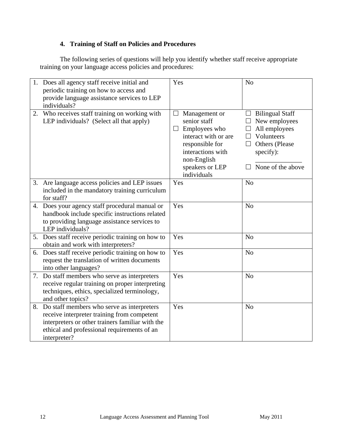## **4. Training of Staff on Policies and Procedures**

The following series of questions will help you identify whether staff receive appropriate training on your language access policies and procedures:

| 1. Does all agency staff receive initial and<br>periodic training on how to access and<br>provide language assistance services to LEP<br>individuals?                                                           | Yes                                                                                                                                                                       | N <sub>o</sub>                                                                                                                                             |
|-----------------------------------------------------------------------------------------------------------------------------------------------------------------------------------------------------------------|---------------------------------------------------------------------------------------------------------------------------------------------------------------------------|------------------------------------------------------------------------------------------------------------------------------------------------------------|
| 2. Who receives staff training on working with<br>LEP individuals? (Select all that apply)                                                                                                                      | Management or<br>senior staff<br>Employees who<br>$\Box$<br>interact with or are<br>responsible for<br>interactions with<br>non-English<br>speakers or LEP<br>individuals | <b>Bilingual Staff</b><br>New employees<br>All employees<br>Volunteers<br>$\mathsf{L}$<br>Others (Please<br>$\mathsf{L}$<br>specify):<br>None of the above |
| 3. Are language access policies and LEP issues<br>included in the mandatory training curriculum<br>for staff?                                                                                                   | Yes                                                                                                                                                                       | N <sub>o</sub>                                                                                                                                             |
| 4. Does your agency staff procedural manual or<br>handbook include specific instructions related<br>to providing language assistance services to<br>LEP individuals?                                            | Yes                                                                                                                                                                       | N <sub>o</sub>                                                                                                                                             |
| 5. Does staff receive periodic training on how to<br>obtain and work with interpreters?                                                                                                                         | Yes                                                                                                                                                                       | N <sub>o</sub>                                                                                                                                             |
| 6. Does staff receive periodic training on how to<br>request the translation of written documents<br>into other languages?                                                                                      | Yes                                                                                                                                                                       | N <sub>o</sub>                                                                                                                                             |
| 7. Do staff members who serve as interpreters<br>receive regular training on proper interpreting<br>techniques, ethics, specialized terminology,<br>and other topics?                                           | Yes                                                                                                                                                                       | N <sub>o</sub>                                                                                                                                             |
| 8. Do staff members who serve as interpreters<br>receive interpreter training from competent<br>interpreters or other trainers familiar with the<br>ethical and professional requirements of an<br>interpreter? | Yes                                                                                                                                                                       | N <sub>o</sub>                                                                                                                                             |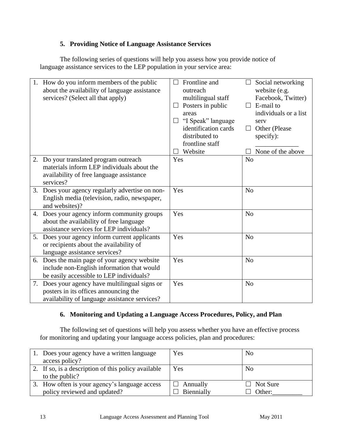## **5. Providing Notice of Language Assistance Services**

The following series of questions will help you assess how you provide notice of language assistance services to the LEP population in your service area:

|    | 1. How do you inform members of the public<br>about the availability of language assistance<br>services? (Select all that apply)      | Frontline and<br>outreach<br>multilingual staff<br>Posters in public<br>areas<br>"I Speak" language<br>$\Box$<br>identification cards<br>distributed to<br>frontline staff<br>Website | Social networking<br>$\Box$<br>website (e.g.<br>Facebook, Twitter)<br>E-mail to<br>individuals or a list<br>serv<br>Other (Please)<br>$\Box$<br>specify):<br>None of the above |
|----|---------------------------------------------------------------------------------------------------------------------------------------|---------------------------------------------------------------------------------------------------------------------------------------------------------------------------------------|--------------------------------------------------------------------------------------------------------------------------------------------------------------------------------|
|    | 2. Do your translated program outreach                                                                                                | Yes                                                                                                                                                                                   | N <sub>o</sub>                                                                                                                                                                 |
|    | materials inform LEP individuals about the<br>availability of free language assistance<br>services?                                   |                                                                                                                                                                                       |                                                                                                                                                                                |
|    | 3. Does your agency regularly advertise on non-<br>English media (television, radio, newspaper,<br>and websites)?                     | Yes                                                                                                                                                                                   | N <sub>o</sub>                                                                                                                                                                 |
|    | 4. Does your agency inform community groups<br>about the availability of free language<br>assistance services for LEP individuals?    | Yes                                                                                                                                                                                   | N <sub>o</sub>                                                                                                                                                                 |
| 5. | Does your agency inform current applicants<br>or recipients about the availability of<br>language assistance services?                | Yes                                                                                                                                                                                   | N <sub>o</sub>                                                                                                                                                                 |
| 6. | Does the main page of your agency website<br>include non-English information that would<br>be easily accessible to LEP individuals?   | Yes                                                                                                                                                                                   | N <sub>o</sub>                                                                                                                                                                 |
| 7. | Does your agency have multilingual signs or<br>posters in its offices announcing the<br>availability of language assistance services? | Yes                                                                                                                                                                                   | N <sub>o</sub>                                                                                                                                                                 |

## **6. Monitoring and Updating a Language Access Procedures, Policy, and Plan**

The following set of questions will help you assess whether you have an effective process for monitoring and updating your language access policies, plan and procedures:

| 1. Does your agency have a written language         | Yes        | N <sub>0</sub> |
|-----------------------------------------------------|------------|----------------|
| access policy?                                      |            |                |
| 2. If so, is a description of this policy available | Yes        | No             |
| to the public?                                      |            |                |
| 3. How often is your agency's language access       | Annually   | Not Sure       |
| policy reviewed and updated?                        | Biennially | Other:         |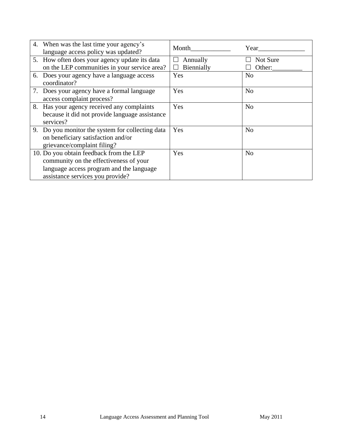| 4. When was the last time your agency's<br>language access policy was updated?                                                                                    | Month                            | Year               |
|-------------------------------------------------------------------------------------------------------------------------------------------------------------------|----------------------------------|--------------------|
| 5. How often does your agency update its data<br>on the LEP communities in your service area?                                                                     | Annually<br>$\Box$<br>Biennially | Not Sure<br>Other: |
| 6. Does your agency have a language access<br>coordinator?                                                                                                        | Yes                              | N <sub>o</sub>     |
| 7. Does your agency have a formal language<br>access complaint process?                                                                                           | Yes                              | N <sub>o</sub>     |
| 8. Has your agency received any complaints<br>because it did not provide language assistance<br>services?                                                         | Yes                              | N <sub>o</sub>     |
| 9. Do you monitor the system for collecting data<br>on beneficiary satisfaction and/or<br>grievance/complaint filing?                                             | Yes                              | N <sub>o</sub>     |
| 10. Do you obtain feedback from the LEP<br>community on the effectiveness of your<br>language access program and the language<br>assistance services you provide? | Yes                              | N <sub>o</sub>     |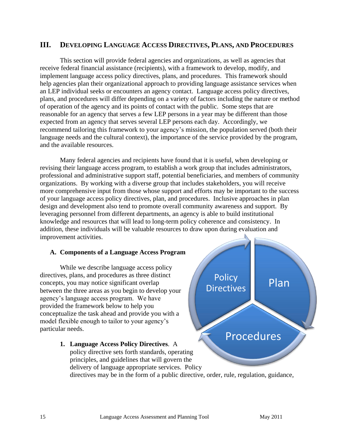## **III. DEVELOPING LANGUAGE ACCESS DIRECTIVES, PLANS, AND PROCEDURES**

This section will provide federal agencies and organizations, as well as agencies that receive federal financial assistance (recipients), with a framework to develop, modify, and implement language access policy directives, plans, and procedures. This framework should help agencies plan their organizational approach to providing language assistance services when an LEP individual seeks or encounters an agency contact. Language access policy directives, plans, and procedures will differ depending on a variety of factors including the nature or method of operation of the agency and its points of contact with the public. Some steps that are reasonable for an agency that serves a few LEP persons in a year may be different than those expected from an agency that serves several LEP persons each day. Accordingly, we recommend tailoring this framework to your agency's mission, the population served (both their language needs and the cultural context), the importance of the service provided by the program, and the available resources.

Many federal agencies and recipients have found that it is useful, when developing or revising their language access program, to establish a work group that includes administrators, professional and administrative support staff, potential beneficiaries, and members of community organizations. By working with a diverse group that includes stakeholders, you will receive more comprehensive input from those whose support and efforts may be important to the success of your language access policy directives, plan, and procedures. Inclusive approaches in plan design and development also tend to promote overall community awareness and support. By leveraging personnel from different departments, an agency is able to build institutional knowledge and resources that will lead to long-term policy coherence and consistency. In addition, these individuals will be valuable resources to draw upon during evaluation and improvement activities.

#### **A. Components of a Language Access Program**

While we describe language access policy directives, plans, and procedures as three distinct concepts, you may notice significant overlap between the three areas as you begin to develop your agency's language access program. We have provided the framework below to help you conceptualize the task ahead and provide you with a model flexible enough to tailor to your agency's particular needs.

Procedures **1. Language Access Policy Directives**. A policy directive sets forth standards, operating principles, and guidelines that will govern the delivery of language appropriate services. Policy directives may be in the form of a public directive, order, rule, regulation, guidance,

Plan

**Policy** 

**Directives**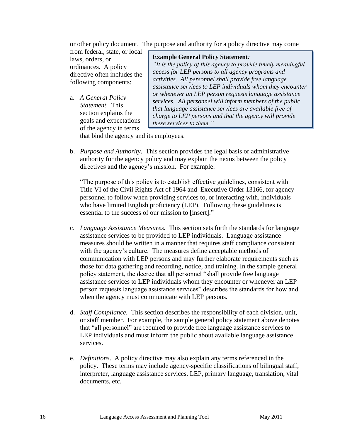or other policy document. The purpose and authority for a policy directive may come from federal, state, or local

laws, orders, or ordinances. A policy directive often includes the following components:

a. *A General Policy Statement*. This section explains the goals and expectations of the agency in terms

#### **Example General Policy Statement***:*

*"It is the policy of this agency to provide timely meaningful access for LEP persons to all agency programs and activities. All personnel shall provide free language assistance services to LEP individuals whom they encounter or whenever an LEP person requests language assistance services. All personnel will inform members of the public that language assistance services are available free of charge to LEP persons and that the agency will provide these services to them."*

that bind the agency and its employees.

b. *Purpose and Authority*. This section provides the legal basis or administrative authority for the agency policy and may explain the nexus between the policy directives and the agency's mission. For example:

"The purpose of this policy is to establish effective guidelines, consistent with Title VI of the Civil Rights Act of 1964 and Executive Order 13166, for agency personnel to follow when providing services to, or interacting with, individuals who have limited English proficiency (LEP). Following these guidelines is essential to the success of our mission to [insert]."

- c. *Language Assistance Measures.* This section sets forth the standards for language assistance services to be provided to LEP individuals. Language assistance measures should be written in a manner that requires staff compliance consistent with the agency's culture. The measures define acceptable methods of communication with LEP persons and may further elaborate requirements such as those for data gathering and recording, notice, and training. In the sample general policy statement, the decree that all personnel "shall provide free language assistance services to LEP individuals whom they encounter or whenever an LEP person requests language assistance services" describes the standards for how and when the agency must communicate with LEP persons.
- d. *Staff Compliance.* This section describes the responsibility of each division, unit, or staff member. For example, the sample general policy statement above denotes that "all personnel" are required to provide free language assistance services to LEP individuals and must inform the public about available language assistance services.
- e. *Definitions*. A policy directive may also explain any terms referenced in the policy. These terms may include agency-specific classifications of bilingual staff, interpreter, language assistance services, LEP, primary language, translation, vital documents, etc.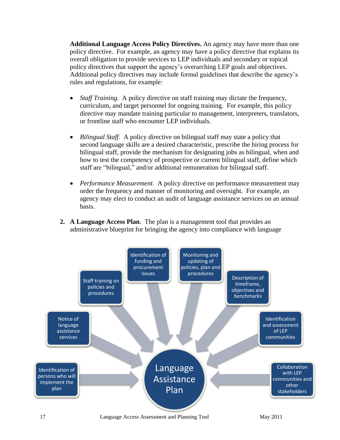**Additional Language Access Policy Directives.** An agency may have more than one policy directive. For example, an agency may have a policy directive that explains its overall obligation to provide services to LEP individuals and secondary or topical policy directives that support the agency's overarching LEP goals and objectives. Additional policy directives may include formal guidelines that describe the agency's rules and regulations, for example:

- *Staff Training*. A policy directive on staff training may dictate the frequency, curriculum, and target personnel for ongoing training. For example, this policy directive may mandate training particular to management, interpreters, translators, or frontline staff who encounter LEP individuals.
- *Bilingual Staff*. A policy directive on bilingual staff may state a policy that second language skills are a desired characteristic, prescribe the hiring process for bilingual staff, provide the mechanism for designating jobs as bilingual, when and how to test the competency of prospective or current bilingual staff, define which staff are "bilingual," and/or additional remuneration for bilingual staff.
- *Performance Measurement*. A policy directive on performance measurement may order the frequency and manner of monitoring and oversight. For example, an agency may elect to conduct an audit of language assistance services on an annual basis.
- **2. A Language Access Plan**. The plan is a management tool that provides an administrative blueprint for bringing the agency into compliance with language

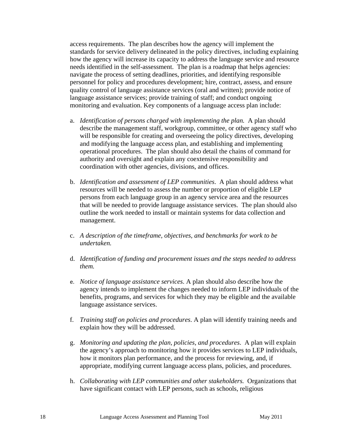access requirements. The plan describes how the agency will implement the standards for service delivery delineated in the policy directives, including explaining how the agency will increase its capacity to address the language service and resource needs identified in the self-assessment. The plan is a roadmap that helps agencies: navigate the process of setting deadlines, priorities, and identifying responsible personnel for policy and procedures development; hire, contract, assess, and ensure quality control of language assistance services (oral and written); provide notice of language assistance services; provide training of staff; and conduct ongoing monitoring and evaluation. Key components of a language access plan include:

- a. *Identification of persons charged with implementing the plan.* A plan should describe the management staff, workgroup, committee, or other agency staff who will be responsible for creating and overseeing the policy directives, developing and modifying the language access plan, and establishing and implementing operational procedures. The plan should also detail the chains of command for authority and oversight and explain any coextensive responsibility and coordination with other agencies, divisions, and offices.
- b. *Identification and assessment of LEP communities*. A plan should address what resources will be needed to assess the number or proportion of eligible LEP persons from each language group in an agency service area and the resources that will be needed to provide language assistance services. The plan should also outline the work needed to install or maintain systems for data collection and management.
- c. *A description of the timeframe, objectives, and benchmarks for work to be undertaken.*
- d. *Identification of funding and procurement issues and the steps needed to address them.*
- e. *Notice of language assistance services*. A plan should also describe how the agency intends to implement the changes needed to inform LEP individuals of the benefits, programs, and services for which they may be eligible and the available language assistance services.
- f. *Training staff on policies and procedures*. A plan will identify training needs and explain how they will be addressed.
- g. *Monitoring and updating the plan, policies, and procedures*. A plan will explain the agency's approach to monitoring how it provides services to LEP individuals, how it monitors plan performance, and the process for reviewing, and, if appropriate, modifying current language access plans, policies, and procedures.
- h. *Collaborating with LEP communities and other stakeholders.* Organizations that have significant contact with LEP persons, such as schools, religious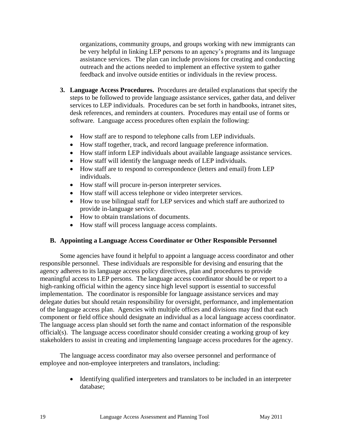organizations, community groups, and groups working with new immigrants can be very helpful in linking LEP persons to an agency's programs and its language assistance services. The plan can include provisions for creating and conducting outreach and the actions needed to implement an effective system to gather feedback and involve outside entities or individuals in the review process.

- **3. Language Access Procedures.** Procedures are detailed explanations that specify the steps to be followed to provide language assistance services, gather data, and deliver services to LEP individuals. Procedures can be set forth in handbooks, intranet sites, desk references, and reminders at counters. Procedures may entail use of forms or software. Language access procedures often explain the following:
	- How staff are to respond to telephone calls from LEP individuals.
	- How staff together, track, and record language preference information.
	- How staff inform LEP individuals about available language assistance services.
	- How staff will identify the language needs of LEP individuals.
	- How staff are to respond to correspondence (letters and email) from LEP individuals.
	- How staff will procure in-person interpreter services.
	- How staff will access telephone or video interpreter services.
	- How to use bilingual staff for LEP services and which staff are authorized to provide in-language service.
	- How to obtain translations of documents.
	- How staff will process language access complaints.

#### **B. Appointing a Language Access Coordinator or Other Responsible Personnel**

Some agencies have found it helpful to appoint a language access coordinator and other responsible personnel. These individuals are responsible for devising and ensuring that the agency adheres to its language access policy directives, plan and procedures to provide meaningful access to LEP persons. The language access coordinator should be or report to a high-ranking official within the agency since high level support is essential to successful implementation. The coordinator is responsible for language assistance services and may delegate duties but should retain responsibility for oversight, performance, and implementation of the language access plan. Agencies with multiple offices and divisions may find that each component or field office should designate an individual as a local language access coordinator. The language access plan should set forth the name and contact information of the responsible official(s). The language access coordinator should consider creating a working group of key stakeholders to assist in creating and implementing language access procedures for the agency.

The language access coordinator may also oversee personnel and performance of employee and non-employee interpreters and translators, including:

> Identifying qualified interpreters and translators to be included in an interpreter database;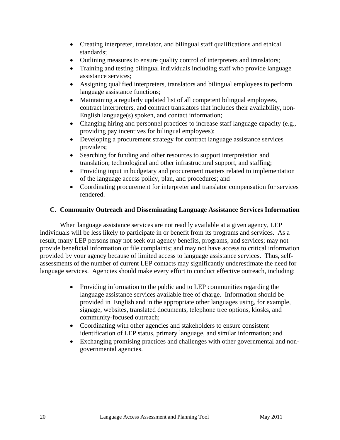- Creating interpreter, translator, and bilingual staff qualifications and ethical standards;
- Outlining measures to ensure quality control of interpreters and translators;
- Training and testing bilingual individuals including staff who provide language assistance services;
- Assigning qualified interpreters, translators and bilingual employees to perform language assistance functions;
- Maintaining a regularly updated list of all competent bilingual employees, contract interpreters, and contract translators that includes their availability, non-English language(s) spoken, and contact information;
- Changing hiring and personnel practices to increase staff language capacity (e.g., providing pay incentives for bilingual employees);
- Developing a procurement strategy for contract language assistance services providers;
- Searching for funding and other resources to support interpretation and translation; technological and other infrastructural support, and staffing;
- Providing input in budgetary and procurement matters related to implementation of the language access policy, plan, and procedures; and
- Coordinating procurement for interpreter and translator compensation for services rendered.

## **C. Community Outreach and Disseminating Language Assistance Services Information**

When language assistance services are not readily available at a given agency, LEP individuals will be less likely to participate in or benefit from its programs and services. As a result, many LEP persons may not seek out agency benefits, programs, and services; may not provide beneficial information or file complaints; and may not have access to critical information provided by your agency because of limited access to language assistance services. Thus, selfassessments of the number of current LEP contacts may significantly underestimate the need for language services. Agencies should make every effort to conduct effective outreach, including:

- Providing information to the public and to LEP communities regarding the language assistance services available free of charge. Information should be provided in English and in the appropriate other languages using, for example, signage, websites, translated documents, telephone tree options, kiosks, and community-focused outreach;
- Coordinating with other agencies and stakeholders to ensure consistent identification of LEP status, primary language, and similar information; and
- Exchanging promising practices and challenges with other governmental and nongovernmental agencies.